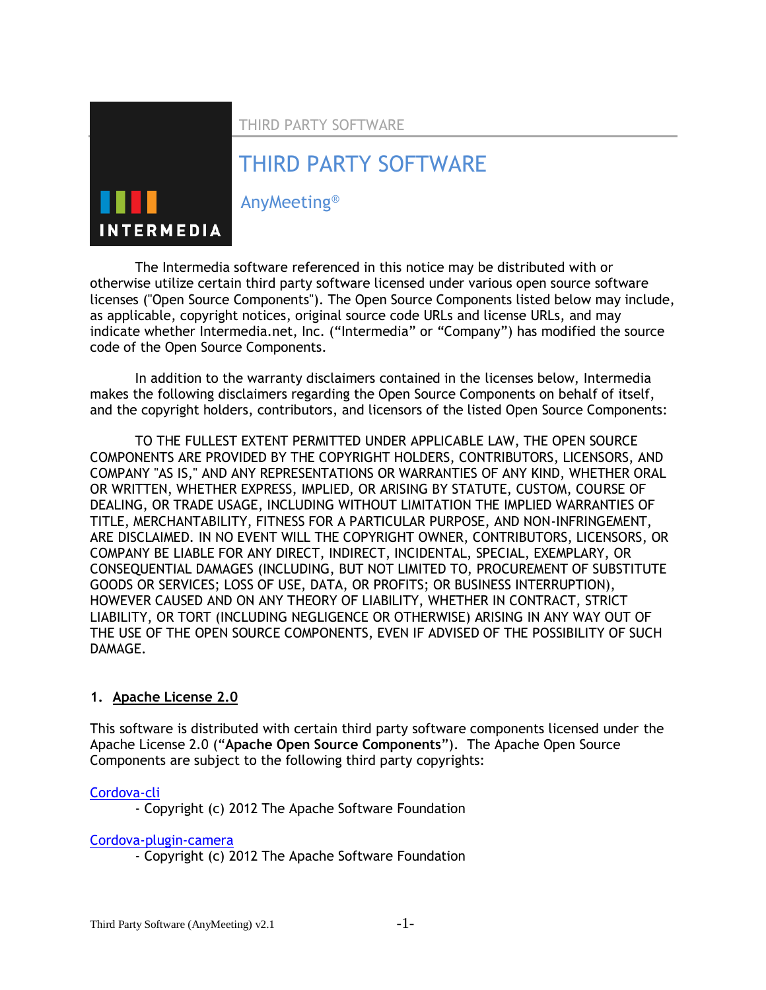# THIRD PARTY SOFTWARE



AnyMeeting®

The Intermedia software referenced in this notice may be distributed with or otherwise utilize certain third party software licensed under various open source software licenses ("Open Source Components"). The Open Source Components listed below may include, as applicable, copyright notices, original source code URLs and license URLs, and may indicate whether Intermedia.net, Inc. ("Intermedia" or "Company") has modified the source code of the Open Source Components.

In addition to the warranty disclaimers contained in the licenses below, Intermedia makes the following disclaimers regarding the Open Source Components on behalf of itself, and the copyright holders, contributors, and licensors of the listed Open Source Components:

TO THE FULLEST EXTENT PERMITTED UNDER APPLICABLE LAW, THE OPEN SOURCE COMPONENTS ARE PROVIDED BY THE COPYRIGHT HOLDERS, CONTRIBUTORS, LICENSORS, AND COMPANY "AS IS," AND ANY REPRESENTATIONS OR WARRANTIES OF ANY KIND, WHETHER ORAL OR WRITTEN, WHETHER EXPRESS, IMPLIED, OR ARISING BY STATUTE, CUSTOM, COURSE OF DEALING, OR TRADE USAGE, INCLUDING WITHOUT LIMITATION THE IMPLIED WARRANTIES OF TITLE, MERCHANTABILITY, FITNESS FOR A PARTICULAR PURPOSE, AND NON-INFRINGEMENT, ARE DISCLAIMED. IN NO EVENT WILL THE COPYRIGHT OWNER, CONTRIBUTORS, LICENSORS, OR COMPANY BE LIABLE FOR ANY DIRECT, INDIRECT, INCIDENTAL, SPECIAL, EXEMPLARY, OR CONSEQUENTIAL DAMAGES (INCLUDING, BUT NOT LIMITED TO, PROCUREMENT OF SUBSTITUTE GOODS OR SERVICES; LOSS OF USE, DATA, OR PROFITS; OR BUSINESS INTERRUPTION), HOWEVER CAUSED AND ON ANY THEORY OF LIABILITY, WHETHER IN CONTRACT, STRICT LIABILITY, OR TORT (INCLUDING NEGLIGENCE OR OTHERWISE) ARISING IN ANY WAY OUT OF THE USE OF THE OPEN SOURCE COMPONENTS, EVEN IF ADVISED OF THE POSSIBILITY OF SUCH DAMAGE.

# **1. Apache License 2.0**

This software is distributed with certain third party software components licensed under the Apache License 2.0 ("**Apache Open Source Components**"). The Apache Open Source Components are subject to the following third party copyrights:

# [Cordova-cli](https://github.com/apache/cordova-cli/blob/master/LICENSE)

- Copyright (c) 2012 The Apache Software Foundation

[Cordova-plugin-camera](https://github.com/apache/cordova-plugin-camera/blob/master/LICENSE)

- Copyright (c) 2012 The Apache Software Foundation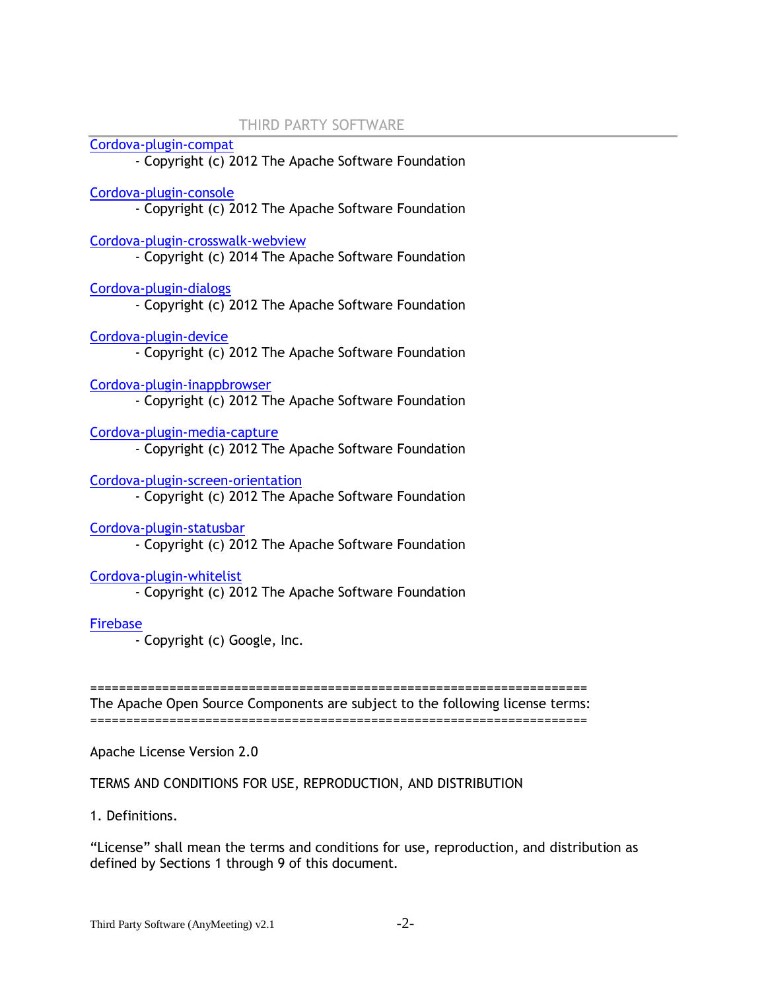[Cordova-plugin-compat](https://github.com/apache/cordova-plugin-compat/blob/master/package.json)

- Copyright (c) 2012 The Apache Software Foundation

#### [Cordova-plugin-console](https://github.com/apache/cordova-plugin-console/blob/master/LICENSE)

- Copyright (c) 2012 The Apache Software Foundation

## [Cordova-plugin-crosswalk-webview](https://github.com/crosswalk-project/cordova-plugin-crosswalk-webview/blob/master/LICENSE)

- Copyright (c) 2014 The Apache Software Foundation

[Cordova-plugin-dialogs](https://github.com/apache/cordova-plugin-dialogs/blob/master/LICENSE)

- Copyright (c) 2012 The Apache Software Foundation

[Cordova-plugin-device](https://github.com/apache/cordova-plugin-device/blob/master/LICENSE)

- Copyright (c) 2012 The Apache Software Foundation

## [Cordova-plugin-inappbrowser](https://github.com/apache/cordova-plugin-inappbrowser/blob/master/LICENSE)

- Copyright (c) 2012 The Apache Software Foundation

## [Cordova-plugin-media-capture](https://github.com/apache/cordova-plugin-media-capture/blob/master/LICENSE)

- Copyright (c) 2012 The Apache Software Foundation

#### [Cordova-plugin-screen-orientation](https://github.com/apache/cordova-plugin-screen-orientation/blob/master/LICENSE)

- Copyright (c) 2012 The Apache Software Foundation

# [Cordova-plugin-statusbar](https://github.com/apache/cordova-plugin-statusbar/blob/master/LICENSE)

- Copyright (c) 2012 The Apache Software Foundation

# [Cordova-plugin-whitelist](https://github.com/apache/cordova-plugin-whitelist/blob/master/LICENSE)

- Copyright (c) 2012 The Apache Software Foundation

#### [Firebase](https://firebase.google.com/terms)

- Copyright (c) Google, Inc.

=====================================================================

The Apache Open Source Components are subject to the following license terms:

=====================================================================

#### Apache License Version 2.0

TERMS AND CONDITIONS FOR USE, REPRODUCTION, AND DISTRIBUTION

1. Definitions.

"License" shall mean the terms and conditions for use, reproduction, and distribution as defined by Sections 1 through 9 of this document.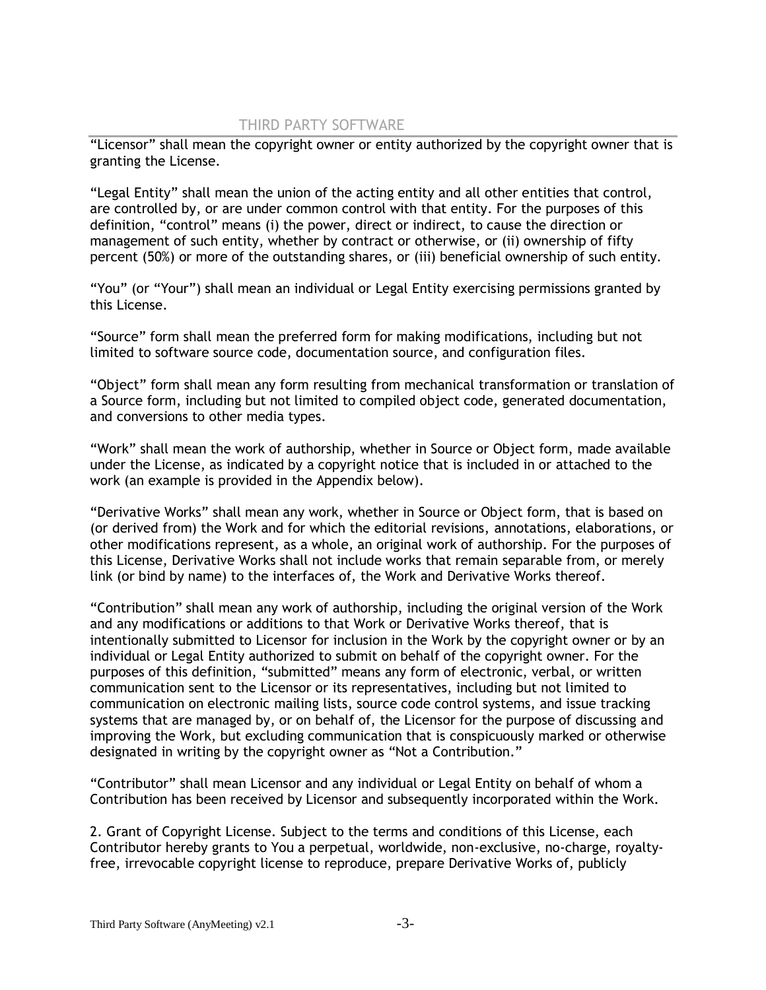"Licensor" shall mean the copyright owner or entity authorized by the copyright owner that is granting the License.

"Legal Entity" shall mean the union of the acting entity and all other entities that control, are controlled by, or are under common control with that entity. For the purposes of this definition, "control" means (i) the power, direct or indirect, to cause the direction or management of such entity, whether by contract or otherwise, or (ii) ownership of fifty percent (50%) or more of the outstanding shares, or (iii) beneficial ownership of such entity.

"You" (or "Your") shall mean an individual or Legal Entity exercising permissions granted by this License.

"Source" form shall mean the preferred form for making modifications, including but not limited to software source code, documentation source, and configuration files.

"Object" form shall mean any form resulting from mechanical transformation or translation of a Source form, including but not limited to compiled object code, generated documentation, and conversions to other media types.

"Work" shall mean the work of authorship, whether in Source or Object form, made available under the License, as indicated by a copyright notice that is included in or attached to the work (an example is provided in the Appendix below).

"Derivative Works" shall mean any work, whether in Source or Object form, that is based on (or derived from) the Work and for which the editorial revisions, annotations, elaborations, or other modifications represent, as a whole, an original work of authorship. For the purposes of this License, Derivative Works shall not include works that remain separable from, or merely link (or bind by name) to the interfaces of, the Work and Derivative Works thereof.

"Contribution" shall mean any work of authorship, including the original version of the Work and any modifications or additions to that Work or Derivative Works thereof, that is intentionally submitted to Licensor for inclusion in the Work by the copyright owner or by an individual or Legal Entity authorized to submit on behalf of the copyright owner. For the purposes of this definition, "submitted" means any form of electronic, verbal, or written communication sent to the Licensor or its representatives, including but not limited to communication on electronic mailing lists, source code control systems, and issue tracking systems that are managed by, or on behalf of, the Licensor for the purpose of discussing and improving the Work, but excluding communication that is conspicuously marked or otherwise designated in writing by the copyright owner as "Not a Contribution."

"Contributor" shall mean Licensor and any individual or Legal Entity on behalf of whom a Contribution has been received by Licensor and subsequently incorporated within the Work.

2. Grant of Copyright License. Subject to the terms and conditions of this License, each Contributor hereby grants to You a perpetual, worldwide, non-exclusive, no-charge, rovaltyfree, irrevocable copyright license to reproduce, prepare Derivative Works of, publicly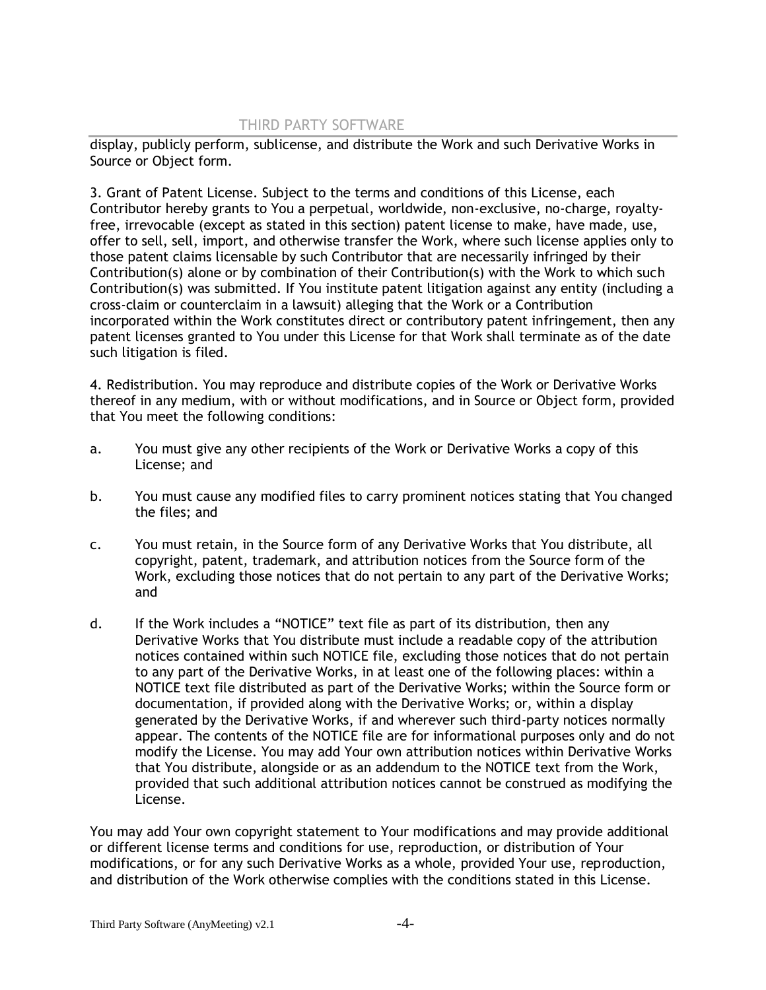display, publicly perform, sublicense, and distribute the Work and such Derivative Works in Source or Object form.

3. Grant of Patent License. Subject to the terms and conditions of this License, each Contributor hereby grants to You a perpetual, worldwide, non-exclusive, no-charge, royaltyfree, irrevocable (except as stated in this section) patent license to make, have made, use, offer to sell, sell, import, and otherwise transfer the Work, where such license applies only to those patent claims licensable by such Contributor that are necessarily infringed by their Contribution(s) alone or by combination of their Contribution(s) with the Work to which such Contribution(s) was submitted. If You institute patent litigation against any entity (including a cross-claim or counterclaim in a lawsuit) alleging that the Work or a Contribution incorporated within the Work constitutes direct or contributory patent infringement, then any patent licenses granted to You under this License for that Work shall terminate as of the date such litigation is filed.

4. Redistribution. You may reproduce and distribute copies of the Work or Derivative Works thereof in any medium, with or without modifications, and in Source or Object form, provided that You meet the following conditions:

- a. You must give any other recipients of the Work or Derivative Works a copy of this License; and
- b. You must cause any modified files to carry prominent notices stating that You changed the files; and
- c. You must retain, in the Source form of any Derivative Works that You distribute, all copyright, patent, trademark, and attribution notices from the Source form of the Work, excluding those notices that do not pertain to any part of the Derivative Works; and
- d. If the Work includes a "NOTICE" text file as part of its distribution, then any Derivative Works that You distribute must include a readable copy of the attribution notices contained within such NOTICE file, excluding those notices that do not pertain to any part of the Derivative Works, in at least one of the following places: within a NOTICE text file distributed as part of the Derivative Works; within the Source form or documentation, if provided along with the Derivative Works; or, within a display generated by the Derivative Works, if and wherever such third-party notices normally appear. The contents of the NOTICE file are for informational purposes only and do not modify the License. You may add Your own attribution notices within Derivative Works that You distribute, alongside or as an addendum to the NOTICE text from the Work, provided that such additional attribution notices cannot be construed as modifying the License.

You may add Your own copyright statement to Your modifications and may provide additional or different license terms and conditions for use, reproduction, or distribution of Your modifications, or for any such Derivative Works as a whole, provided Your use, reproduction, and distribution of the Work otherwise complies with the conditions stated in this License.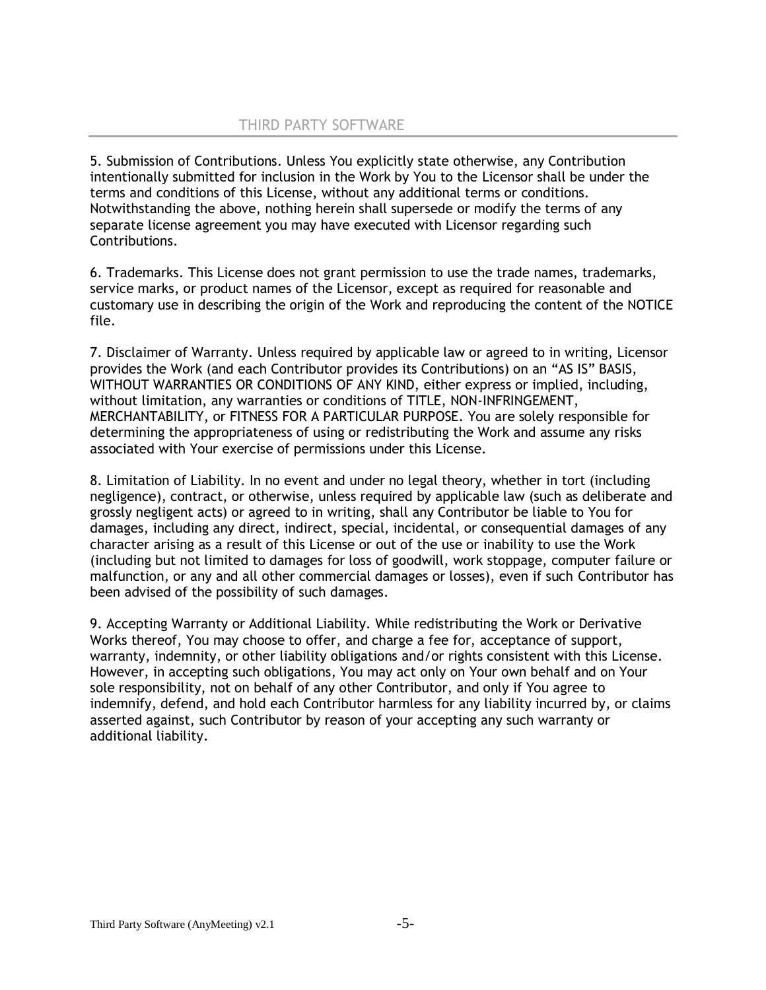5. Submission of Contributions. Unless You explicitly state otherwise, any Contribution intentionally submitted for inclusion in the Work by You to the Licensor shall be under the terms and conditions of this License, without any additional terms or conditions. Notwithstanding the above, nothing herein shall supersede or modify the terms of any separate license agreement you may have executed with Licensor regarding such Contributions.

6. Trademarks. This License does not grant permission to use the trade names, trademarks, service marks, or product names of the Licensor, except as required for reasonable and customary use in describing the origin of the Work and reproducing the content of the NOTICE file.

7. Disclaimer of Warranty. Unless required by applicable law or agreed to in writing, Licensor provides the Work (and each Contributor provides its Contributions) on an "AS IS" BASIS, WITHOUT WARRANTIES OR CONDITIONS OF ANY KIND, either express or implied, including, without limitation, any warranties or conditions of TITLE, NON-INFRINGEMENT, MERCHANTABILITY, or FITNESS FOR A PARTICULAR PURPOSE. You are solely responsible for determining the appropriateness of using or redistributing the Work and assume any risks associated with Your exercise of permissions under this License.

8. Limitation of Liability. In no event and under no legal theory, whether in tort (including negligence), contract, or otherwise, unless required by applicable law (such as deliberate and grossly negligent acts) or agreed to in writing, shall any Contributor be liable to You for damages, including any direct, indirect, special, incidental, or consequential damages of any character arising as a result of this License or out of the use or inability to use the Work (including but not limited to damages for loss of goodwill, work stoppage, computer failure or malfunction, or any and all other commercial damages or losses), even if such Contributor has been advised of the possibility of such damages.

9. Accepting Warranty or Additional Liability. While redistributing the Work or Derivative Works thereof, You may choose to offer, and charge a fee for, acceptance of support, warranty, indemnity, or other liability obligations and/or rights consistent with this License. However, in accepting such obligations, You may act only on Your own behalf and on Your sole responsibility, not on behalf of any other Contributor, and only if You agree to indemnify, defend, and hold each Contributor harmless for any liability incurred by, or claims asserted against, such Contributor by reason of your accepting any such warranty or additional liability.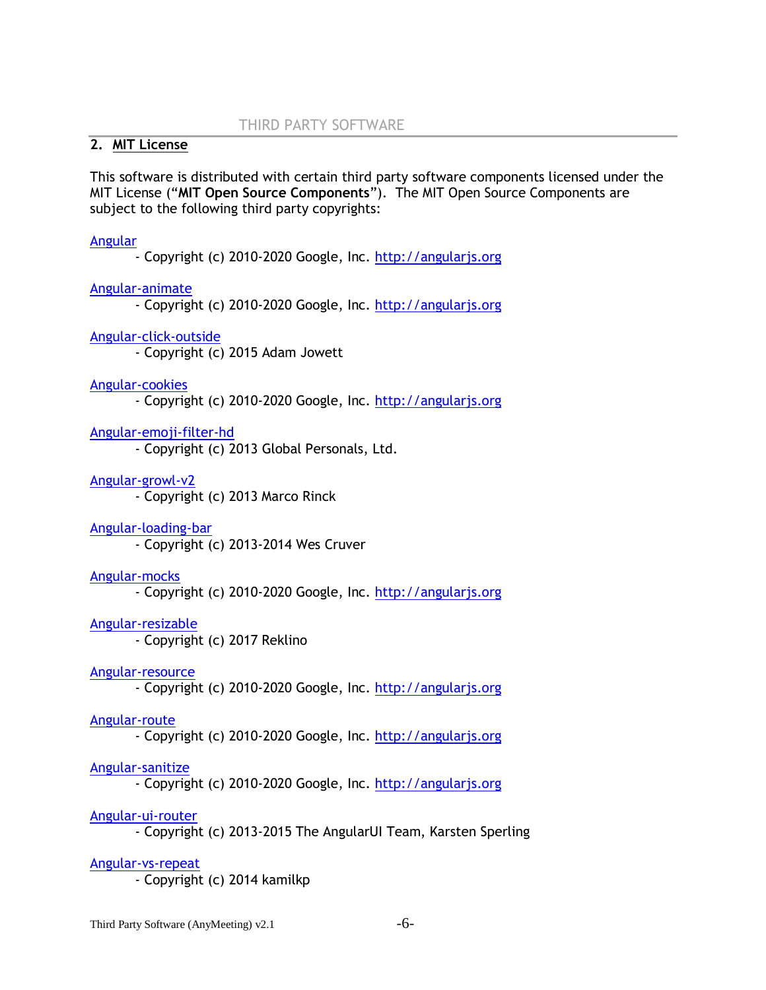# **2. MIT License**

This software is distributed with certain third party software components licensed under the MIT License ("**MIT Open Source Components**"). The MIT Open Source Components are subject to the following third party copyrights:

#### [Angular](https://github.com/angular/angular.js/blob/master/LICENSE)

- Copyright (c) 2010-2020 Google, Inc. [http://angularjs.org](http://angularjs.org/)

#### [Angular-animate](https://github.com/angular/angular.js/blob/master/LICENSE)

- Copyright (c) 2010-2020 Google, Inc. [http://angularjs.org](http://angularjs.org/)

## [Angular-click-outside](https://github.com/IamAdamJowett/angular-click-outside/blob/v2.8.3/LICENSE.md)

- Copyright (c) 2015 Adam Jowett

#### [Angular-cookies](https://github.com/angular/angular.js/blob/master/LICENSE)

- Copyright (c) 2010-2020 Google, Inc. [http://angularjs.org](http://angularjs.org/)

# [Angular-emoji-filter-hd](https://github.com/dbaq/angular-emoji-filter-hd/blob/v0.0.6/LICENSE)

- Copyright (c) 2013 Global Personals, Ltd.

## [Angular-growl-v2](https://github.com/JanStevens/angular-growl-2/blob/v0.7.9/LICENSE)

- Copyright (c) 2013 Marco Rinck

# [Angular-loading-bar](https://github.com/chieffancypants/angular-loading-bar/blob/0.7.1/LICENSE)

- Copyright (c) 2013-2014 Wes Cruver

#### [Angular-mocks](https://github.com/angular/angular.js/blob/master/LICENSE)

- Copyright (c) 2010-2020 Google, Inc. [http://angularjs.org](http://angularjs.org/)

#### [Angular-resizable](https://github.com/Reklino/angular-resizable)

- Copyright (c) 2017 Reklino

#### [Angular-resource](https://github.com/angular/angular.js/blob/master/LICENSE)

- Copyright (c) 2010-2020 Google, Inc. [http://angularjs.org](http://angularjs.org/)

#### [Angular-route](https://github.com/angular/angular.js/blob/master/LICENSE)

- Copyright (c) 2010-2020 Google, Inc. [http://angularjs.org](http://angularjs.org/)

#### [Angular-sanitize](https://github.com/angular/angular.js/blob/master/LICENSE)

- Copyright (c) 2010-2020 Google, Inc. [http://angularjs.org](http://angularjs.org/)

#### [Angular-ui-router](https://github.com/angular-ui/ui-router/blob/0.2.15/LICENSE)

- Copyright (c) 2013-2015 The AngularUI Team, Karsten Sperling

#### [Angular-vs-repeat](https://github.com/kamilkp/angular-vs-repeat/blob/v1.1.7/LICENSE)

- Copyright (c) 2014 kamilkp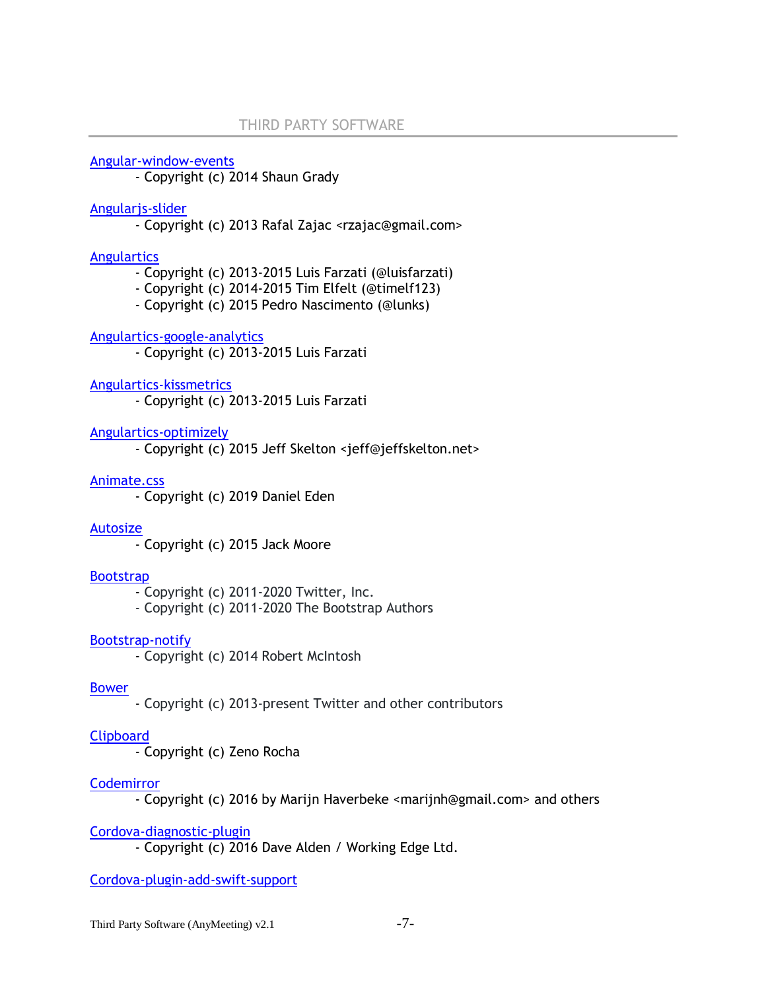#### [Angular-window-events](https://github.com/shaungrady/angular-window-events/blob/1.0.0/LICENSE)

- Copyright (c) 2014 Shaun Grady

#### [Angularjs-slider](https://github.com/angular-slider/angularjs-slider/blob/2.11.0/LICENSE)

- Copyright (c) 2013 Rafal Zajac <rzajac@gmail.com>

## **[Angulartics](https://github.com/angulartics/angulartics/blob/1.0.3/LICENSE)**

- Copyright (c) 2013-2015 Luis Farzati (@luisfarzati)
- Copyright (c) 2014-2015 Tim Elfelt (@timelf123)
- Copyright (c) 2015 Pedro Nascimento (@lunks)

## [Angulartics-google-analytics](https://github.com/angulartics/angulartics-google-analytics/blob/0.4.0/LICENSE)

- Copyright (c) 2013-2015 Luis Farzati

## [Angulartics-kissmetrics](https://github.com/angulartics/angulartics-kissmetrics/blob/0.1.1/LICENSE)

- Copyright (c) 2013-2015 Luis Farzati

# [Angulartics-optimizely](https://github.com/jeffskelton3/angulartics-optimizely)

- Copyright (c) 2015 Jeff Skelton <jeff@jeffskelton.net>

## [Animate.](https://github.com/daneden/animate.css/blob/master/LICENSE)css

- Copyright (c) 2019 Daniel Eden

#### **[Autosize](https://github.com/jackmoore/autosize/blob/master/LICENSE.md)**

- Copyright (c) 2015 Jack Moore

#### [Bootstrap](https://github.com/twbs/bootstrap/blob/master/LICENSE)

- Copyright (c) 2011-2020 Twitter, Inc.

- Copyright (c) 2011-2020 The Bootstrap Authors

# [Bootstrap-notify](https://github.com/mouse0270/bootstrap-notify/blob/2.0.1/LICENSE)

- Copyright (c) 2014 Robert McIntosh

# [Bower](https://github.com/bower/bower/blob/master/LICENSE)

- Copyright (c) 2013-present Twitter and other contributors

# **[Clipboard](https://github.com/zenorocha/clipboard.js/tree/v1.5.3)**

- Copyright (c) Zeno Rocha

# **[Codemirror](https://github.com/codemirror/CodeMirror/blob/5.14.2/LICENSE)**

- Copyright (c) 2016 by Marijn Haverbeke <marijnh@gmail.com> and others

# [Cordova-diagnostic-plugin](https://github.com/dpa99c/cordova-diagnostic-plugin/blob/master/README.md)

- Copyright (c) 2016 Dave Alden / Working Edge Ltd.

# [Cordova-plugin-add-swift-support](https://github.com/akofman/cordova-plugin-add-swift-support/blob/master/LICENSE)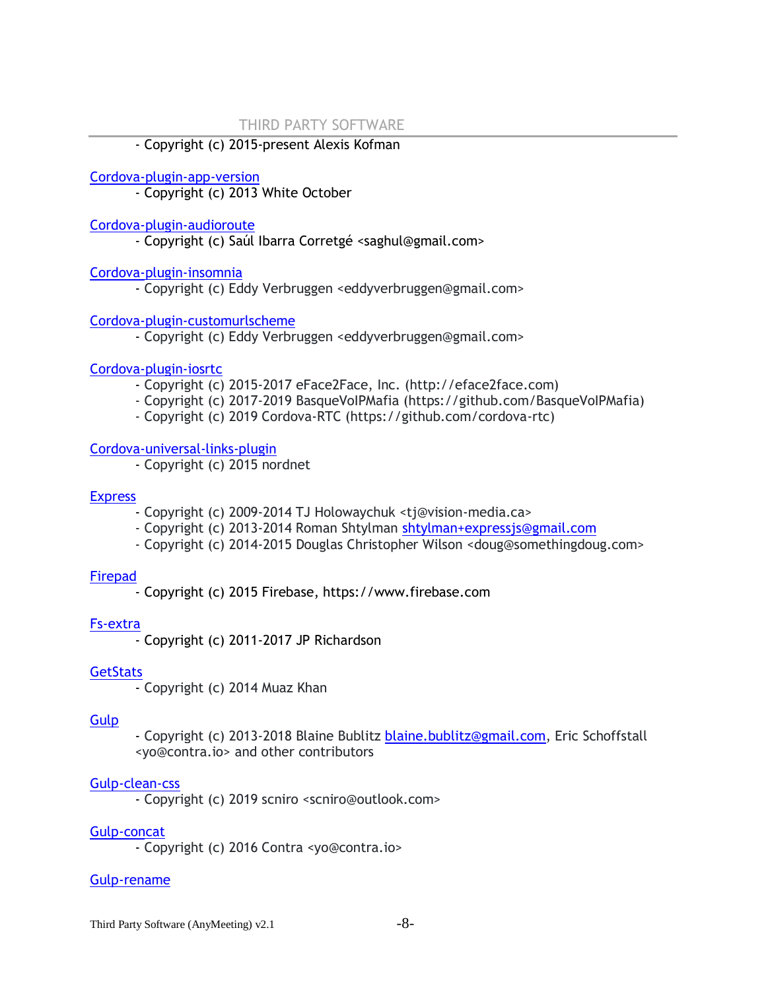## - Copyright (c) 2015-present Alexis Kofman

#### [Cordova-plugin-app-version](https://github.com/whiteoctober/cordova-plugin-app-version/blob/master/LICENSE)

- Copyright (c) 2013 White October

#### [Cordova-plugin-audioroute](https://github.com/saghul/cordova-plugin-audioroute/blob/master/README.md)

- Copyright (c) Saúl Ibarra Corretgé <saghul@gmail.com>

## [Cordova-plugin-insomnia](https://github.com/EddyVerbruggen/Insomnia-PhoneGap-Plugin/blob/master/README.md)

- Copyright (c) Eddy Verbruggen <eddyverbruggen@gmail.com>

## [Cordova-plugin-customurlscheme](https://github.com/EddyVerbruggen/Custom-URL-scheme/blob/master/README.md)

- Copyright (c) Eddy Verbruggen <eddyverbruggen@gmail.com>

## [Cordova-plugin-iosrtc](https://github.com/cordova-rtc/cordova-plugin-iosrtc/blob/master/LICENSE)

- Copyright (c) 2015-2017 eFace2Face, Inc. (http://eface2face.com)
- Copyright (c) 2017-2019 BasqueVoIPMafia (https://github.com/BasqueVoIPMafia)
- Copyright (c) 2019 Cordova-RTC (https://github.com/cordova-rtc)

## [Cordova-universal-links-plugin](https://github.com/aramando/cordova-universal-links-plugin/blob/master/LICENSE)

- Copyright (c) 2015 nordnet

#### **[Express](https://github.com/expressjs/express/blob/4.16.2/LICENSE)**

- Copyright (c) 2009-2014 TJ Holowaychuk <tj@vision-media.ca>
- Copyright (c) 2013-2014 Roman Shtylman [shtylman+expressjs@gmail.com](mailto:shtylman+expressjs@gmail.com)
- Copyright (c) 2014-2015 Douglas Christopher Wilson <doug@somethingdoug.com>

# [Firepad](https://github.com/FirebaseExtended/firepad/blob/v1.3.0/LICENSE)

- Copyright (c) 2015 Firebase, https://www.firebase.com

#### [Fs-extra](https://github.com/jprichardson/node-fs-extra/blob/master/LICENSE)

- Copyright (c) 2011-2017 JP Richardson

# **[GetStats](https://github.com/muaz-khan/getStats/tree/1.0.4)**

- Copyright (c) 2014 Muaz Khan

#### [Gulp](https://github.com/gulpjs/gulp/blob/master/LICENSE)

- Copyright (c) 2013-2018 Blaine Bublitz [blaine.bublitz@gmail.com,](mailto:blaine.bublitz@gmail.com) Eric Schoffstall <yo@contra.io> and other contributors

## [Gulp-clean-css](https://github.com/scniro/gulp-clean-css/blob/master/LICENSE)

- Copyright (c) 2019 scniro <scniro@outlook.com>

#### [Gulp-concat](https://github.com/gulp-community/gulp-concat/blob/master/LICENSE)

- Copyright (c) 2016 Contra <yo@contra.io>

#### [Gulp-rename](https://github.com/hparra/gulp-rename/blob/master/LICENSE)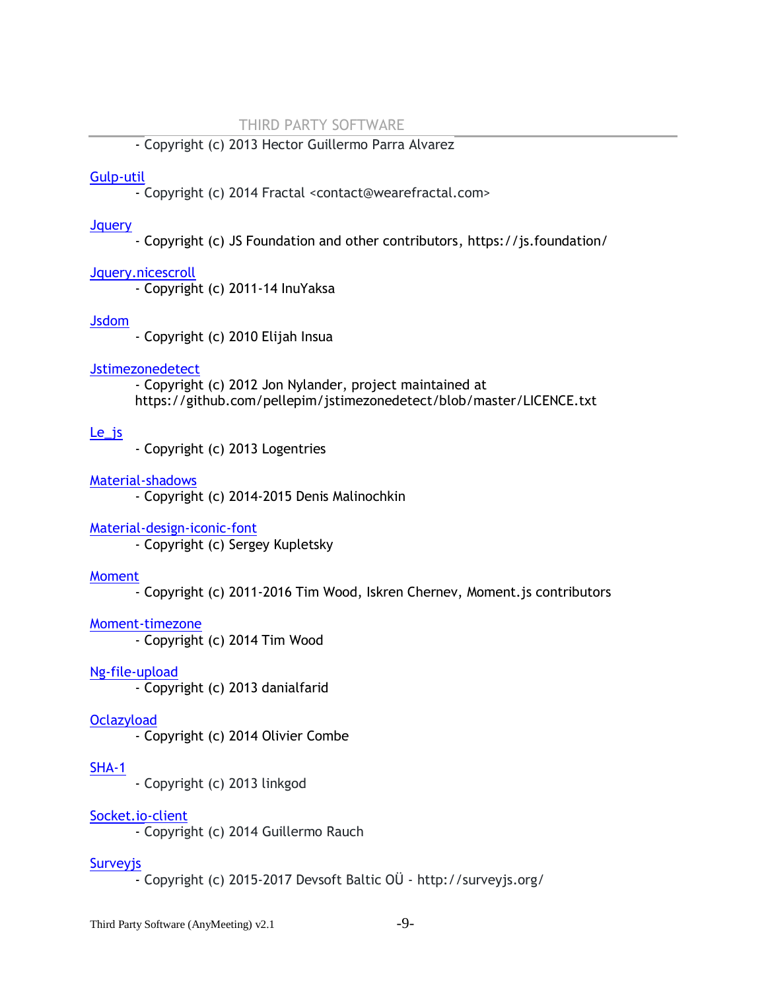- Copyright (c) 2013 Hector Guillermo Parra Alvarez

#### [Gulp-util](https://github.com/gulpjs/gulp-util/blob/master/LICENSE)

- Copyright (c) 2014 Fractal <contact@wearefractal.com>

# **J**query

- Copyright (c) JS Foundation and other contributors, https://js.foundation/

## [Jquery.nicescroll](https://github.com/inuyaksa/jquery.nicescroll/blob/3.6.0/MIT.LICENSE)

- Copyright (c) 2011-14 InuYaksa

## [Jsdom](https://github.com/jsdom/jsdom/blob/3.x/LICENSE.txt)

- Copyright (c) 2010 Elijah Insua

## [Jstimezonedetect](https://github.com/pellepim/jstimezonedetect/blob/master/LICENCE.txt)

- Copyright (c) 2012 Jon Nylander, project maintained at https://github.com/pellepim/jstimezonedetect/blob/master/LICENCE.txt

# $Le<sub>js</sub>$

- Copyright (c) 2013 Logentries

## [Material-shadows](https://github.com/mrmlnc/material-shadows/blob/v2.0.1/LICENSE)

- Copyright (c) 2014-2015 Denis Malinochkin

# [Material-design-iconic-font](https://github.com/zavoloklom/material-design-iconic-font/blob/2.2.0/README.md)

- Copyright (c) Sergey Kupletsky

# [Moment](https://github.com/moment/moment/blob/2.11.1/LICENSE)

- Copyright (c) 2011-2016 Tim Wood, Iskren Chernev, Moment.js contributors

# [Moment-timezone](https://github.com/moment/moment-timezone/blob/0.4.1/LICENSE)

- Copyright (c) 2014 Tim Wood

# [Ng-file-upload](https://github.com/danialfarid/ng-file-upload/blob/10.1.9/LICENSE)

- Copyright (c) 2013 danialfarid

# **[Oclazyload](https://github.com/ocombe/ocLazyLoad/blob/1.0.1/LICENSE.md)**

- Copyright (c) 2014 Olivier Combe

# [SHA-1](https://github.com/linkgod/SHA-1/blob/0.1.1/LICENSE)

- Copyright (c) 2013 linkgod

# [Socket.io-client](https://github.com/socketio/socket.io-client/blob/1.3.6/LICENSE)

- Copyright (c) 2014 Guillermo Rauch

# **[Surveyjs](https://github.com/surveyjs/surveyjs/blob/v0.12.11/LICENSE)**

- Copyright (c) 2015-2017 Devsoft Baltic OÜ - http://surveyjs.org/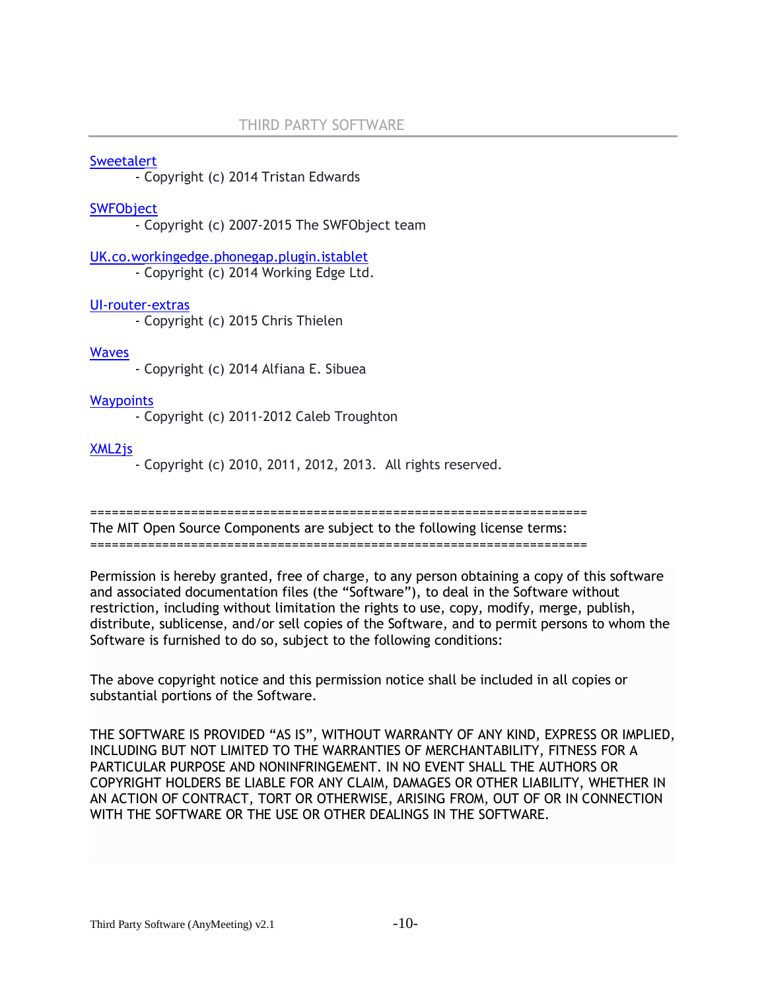#### **[Sweetalert](https://github.com/t4t5/sweetalert/blob/v1.0.1/LICENSE)**

- Copyright (c) 2014 Tristan Edwards

#### **[SWFObject](https://github.com/swfobject/swfobject/tree/2.2)**

- Copyright (c) 2007-2015 The SWFObject team

[UK.co.workingedge.phonegap.plugin.istablet](https://github.com/dpa99c/phonegap-istablet/blob/master/README.md)

- Copyright (c) 2014 Working Edge Ltd.

## [UI-router-extras](https://github.com/christopherthielen/ui-router-extras/blob/0.1.0/LICENSE)

- Copyright (c) 2015 Chris Thielen

## **[Waves](https://github.com/fians/Waves/blob/v0.7.2/LICENSE)**

- Copyright (c) 2014 Alfiana E. Sibuea

## **[Waypoints](https://github.com/imakewebthings/waypoints/blob/3.1.1/licenses.txt)**

- Copyright (c) 2011-2012 Caleb Troughton

# [XML2js](https://github.com/Leonidas-from-XIV/node-xml2js/blob/master/LICENSE)

- Copyright (c) 2010, 2011, 2012, 2013. All rights reserved.

=====================================================================

The MIT Open Source Components are subject to the following license terms: =====================================================================

Permission is hereby granted, free of charge, to any person obtaining a copy of this software and associated documentation files (the "Software"), to deal in the Software without restriction, including without limitation the rights to use, copy, modify, merge, publish, distribute, sublicense, and/or sell copies of the Software, and to permit persons to whom the Software is furnished to do so, subject to the following conditions:

The above copyright notice and this permission notice shall be included in all copies or substantial portions of the Software.

THE SOFTWARE IS PROVIDED "AS IS", WITHOUT WARRANTY OF ANY KIND, EXPRESS OR IMPLIED, INCLUDING BUT NOT LIMITED TO THE WARRANTIES OF MERCHANTABILITY, FITNESS FOR A PARTICULAR PURPOSE AND NONINFRINGEMENT. IN NO EVENT SHALL THE AUTHORS OR COPYRIGHT HOLDERS BE LIABLE FOR ANY CLAIM, DAMAGES OR OTHER LIABILITY, WHETHER IN AN ACTION OF CONTRACT, TORT OR OTHERWISE, ARISING FROM, OUT OF OR IN CONNECTION WITH THE SOFTWARE OR THE USE OR OTHER DEALINGS IN THE SOFTWARE.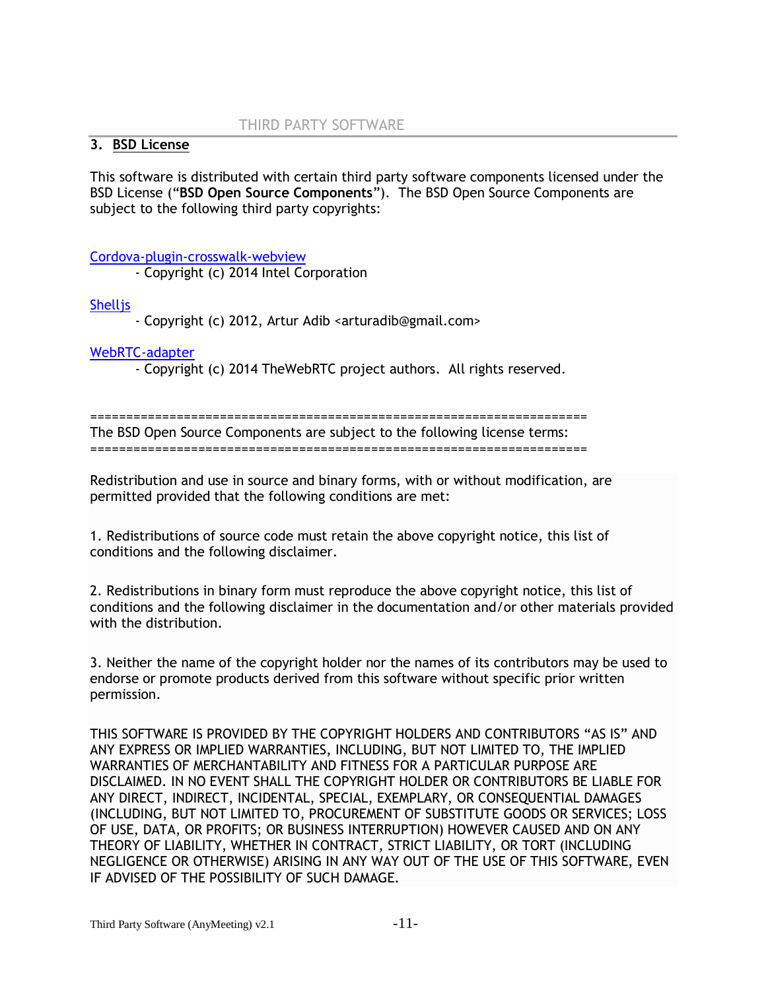# **3. BSD License**

This software is distributed with certain third party software components licensed under the BSD License ("**BSD Open Source Components**"). The BSD Open Source Components are subject to the following third party copyrights:

#### [Cordova-plugin-crosswalk-webview](https://github.com/crosswalk-project/cordova-plugin-crosswalk-webview/blob/master/LICENSE)

- Copyright (c) 2014 Intel Corporation

# [Shelljs](https://github.com/shelljs/shelljs/blob/master/LICENSE)

- Copyright (c) 2012, Artur Adib <arturadib@gmail.com>

## [WebRTC-adapter](https://github.com/webrtc/adapter/blob/v0.2.8/LICENSE.md)

- Copyright (c) 2014 TheWebRTC project authors. All rights reserved.

===================================================================== The BSD Open Source Components are subject to the following license terms: =====================================================================

Redistribution and use in source and binary forms, with or without modification, are permitted provided that the following conditions are met:

1. Redistributions of source code must retain the above copyright notice, this list of conditions and the following disclaimer.

2. Redistributions in binary form must reproduce the above copyright notice, this list of conditions and the following disclaimer in the documentation and/or other materials provided with the distribution.

3. Neither the name of the copyright holder nor the names of its contributors may be used to endorse or promote products derived from this software without specific prior written permission.

THIS SOFTWARE IS PROVIDED BY THE COPYRIGHT HOLDERS AND CONTRIBUTORS "AS IS" AND ANY EXPRESS OR IMPLIED WARRANTIES, INCLUDING, BUT NOT LIMITED TO, THE IMPLIED WARRANTIES OF MERCHANTABILITY AND FITNESS FOR A PARTICULAR PURPOSE ARE DISCLAIMED. IN NO EVENT SHALL THE COPYRIGHT HOLDER OR CONTRIBUTORS BE LIABLE FOR ANY DIRECT, INDIRECT, INCIDENTAL, SPECIAL, EXEMPLARY, OR CONSEQUENTIAL DAMAGES (INCLUDING, BUT NOT LIMITED TO, PROCUREMENT OF SUBSTITUTE GOODS OR SERVICES; LOSS OF USE, DATA, OR PROFITS; OR BUSINESS INTERRUPTION) HOWEVER CAUSED AND ON ANY THEORY OF LIABILITY, WHETHER IN CONTRACT, STRICT LIABILITY, OR TORT (INCLUDING NEGLIGENCE OR OTHERWISE) ARISING IN ANY WAY OUT OF THE USE OF THIS SOFTWARE, EVEN IF ADVISED OF THE POSSIBILITY OF SUCH DAMAGE.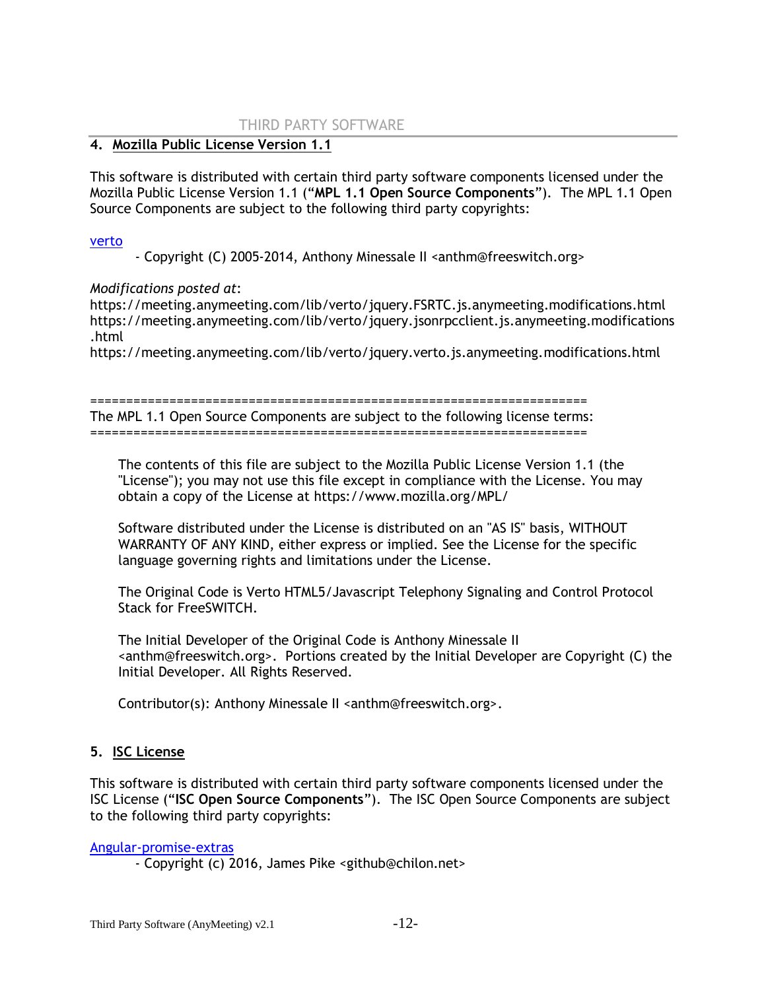# **4. Mozilla Public License Version 1.1**

This software is distributed with certain third party software components licensed under the Mozilla Public License Version 1.1 ("**MPL 1.1 Open Source Components**"). The MPL 1.1 Open Source Components are subject to the following third party copyrights:

#### [verto](https://freeswitch.org/confluence/display/FREESWITCH/Licensing)

- Copyright (C) 2005-2014, Anthony Minessale II <anthm@freeswitch.org>

## *Modifications posted at*:

https://meeting.anymeeting.com/lib/verto/jquery.FSRTC.js.anymeeting.modifications.html https://meeting.anymeeting.com/lib/verto/jquery.jsonrpcclient.js.anymeeting.modifications .html

https://meeting.anymeeting.com/lib/verto/jquery.verto.js.anymeeting.modifications.html

===================================================================== The MPL 1.1 Open Source Components are subject to the following license terms: =====================================================================

The contents of this file are subject to the Mozilla Public License Version 1.1 (the "License"); you may not use this file except in compliance with the License. You may obtain a copy of the License at https://www.mozilla.org/MPL/

Software distributed under the License is distributed on an "AS IS" basis, WITHOUT WARRANTY OF ANY KIND, either express or implied. See the License for the specific language governing rights and limitations under the License.

The Original Code is Verto HTML5/Javascript Telephony Signaling and Control Protocol Stack for FreeSWITCH.

The Initial Developer of the Original Code is Anthony Minessale II <anthm@freeswitch.org>. Portions created by the Initial Developer are Copyright (C) the Initial Developer. All Rights Reserved.

Contributor(s): Anthony Minessale II <anthm@freeswitch.org>.

# **5. ISC License**

This software is distributed with certain third party software components licensed under the ISC License ("**ISC Open Source Components**"). The ISC Open Source Components are subject to the following third party copyrights:

#### [Angular-promise-extras](https://github.com/insidewhy/angular-promise-extras/blob/master/LICENSE)

- Copyright (c) 2016, James Pike <github@chilon.net>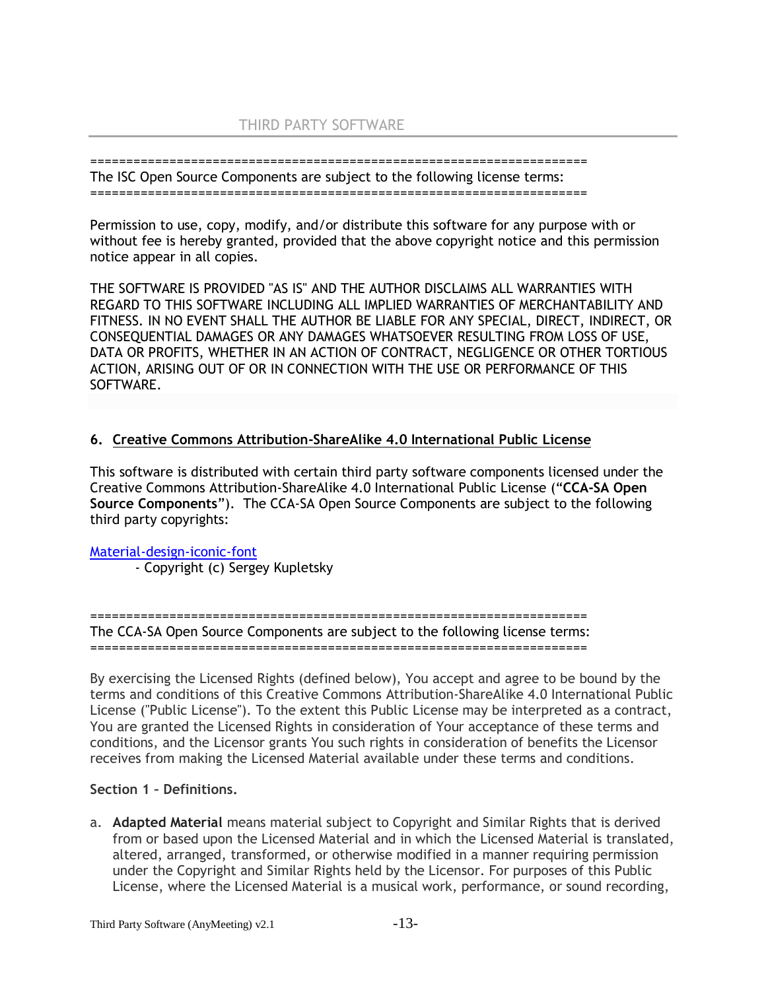===================================================================== The ISC Open Source Components are subject to the following license terms: =====================================================================

Permission to use, copy, modify, and/or distribute this software for any purpose with or without fee is hereby granted, provided that the above copyright notice and this permission notice appear in all copies.

THE SOFTWARE IS PROVIDED "AS IS" AND THE AUTHOR DISCLAIMS ALL WARRANTIES WITH REGARD TO THIS SOFTWARE INCLUDING ALL IMPLIED WARRANTIES OF MERCHANTABILITY AND FITNESS. IN NO EVENT SHALL THE AUTHOR BE LIABLE FOR ANY SPECIAL, DIRECT, INDIRECT, OR CONSEQUENTIAL DAMAGES OR ANY DAMAGES WHATSOEVER RESULTING FROM LOSS OF USE, DATA OR PROFITS, WHETHER IN AN ACTION OF CONTRACT, NEGLIGENCE OR OTHER TORTIOUS ACTION, ARISING OUT OF OR IN CONNECTION WITH THE USE OR PERFORMANCE OF THIS SOFTWARE.

# **6. Creative Commons Attribution-ShareAlike 4.0 International Public License**

This software is distributed with certain third party software components licensed under the Creative Commons Attribution-ShareAlike 4.0 International Public License ("**CCA-SA Open Source Components**"). The CCA-SA Open Source Components are subject to the following third party copyrights:

[Material-design-iconic-font](https://github.com/zavoloklom/material-design-iconic-font/blob/2.2.0/README.md)

- Copyright (c) Sergey Kupletsky

===================================================================== The CCA-SA Open Source Components are subject to the following license terms: =====================================================================

By exercising the Licensed Rights (defined below), You accept and agree to be bound by the terms and conditions of this Creative Commons Attribution-ShareAlike 4.0 International Public License ("Public License"). To the extent this Public License may be interpreted as a contract, You are granted the Licensed Rights in consideration of Your acceptance of these terms and conditions, and the Licensor grants You such rights in consideration of benefits the Licensor receives from making the Licensed Material available under these terms and conditions.

# **Section 1 – Definitions.**

a. **Adapted Material** means material subject to Copyright and Similar Rights that is derived from or based upon the Licensed Material and in which the Licensed Material is translated, altered, arranged, transformed, or otherwise modified in a manner requiring permission under the Copyright and Similar Rights held by the Licensor. For purposes of this Public License, where the Licensed Material is a musical work, performance, or sound recording,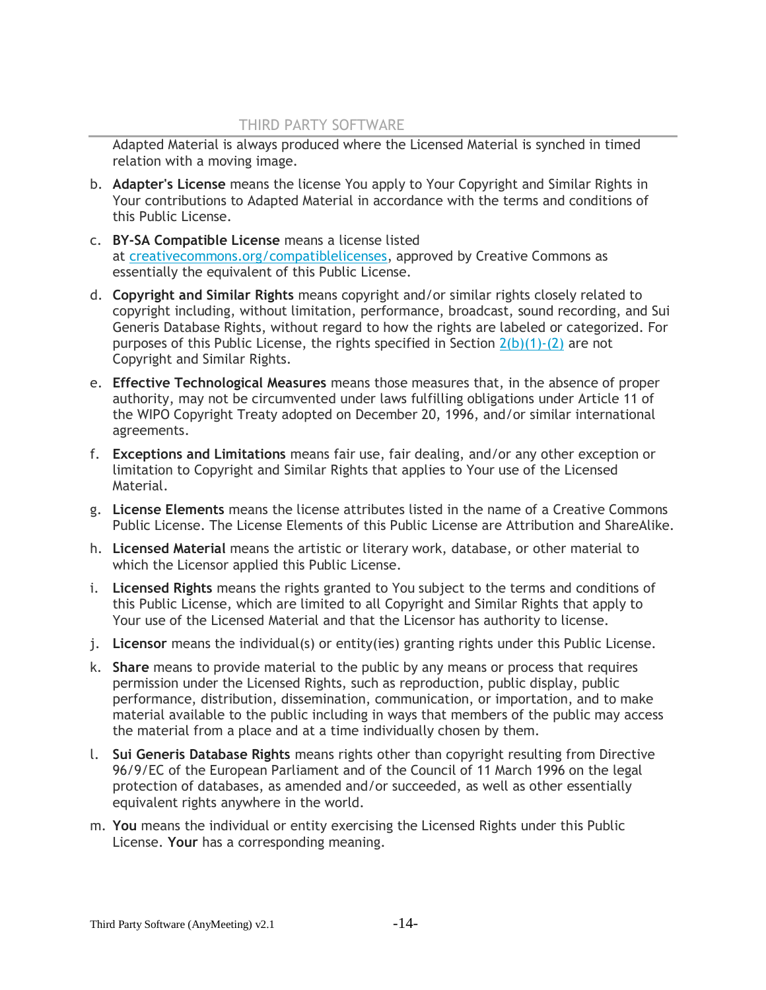Adapted Material is always produced where the Licensed Material is synched in timed relation with a moving image.

- b. **Adapter's License** means the license You apply to Your Copyright and Similar Rights in Your contributions to Adapted Material in accordance with the terms and conditions of this Public License.
- c. **BY-SA Compatible License** means a license listed at [creativecommons.org/compatiblelicenses,](https://creativecommons.org/compatiblelicenses) approved by Creative Commons as essentially the equivalent of this Public License.
- d. **Copyright and Similar Rights** means copyright and/or similar rights closely related to copyright including, without limitation, performance, broadcast, sound recording, and Sui Generis Database Rights, without regard to how the rights are labeled or categorized. For purposes of this Public License, the rights specified in Section  $2(b)(1)-(2)$  are not Copyright and Similar Rights.
- e. **Effective Technological Measures** means those measures that, in the absence of proper authority, may not be circumvented under laws fulfilling obligations under Article 11 of the WIPO Copyright Treaty adopted on December 20, 1996, and/or similar international agreements.
- f. **Exceptions and Limitations** means fair use, fair dealing, and/or any other exception or limitation to Copyright and Similar Rights that applies to Your use of the Licensed Material.
- g. **License Elements** means the license attributes listed in the name of a Creative Commons Public License. The License Elements of this Public License are Attribution and ShareAlike.
- h. **Licensed Material** means the artistic or literary work, database, or other material to which the Licensor applied this Public License.
- i. **Licensed Rights** means the rights granted to You subject to the terms and conditions of this Public License, which are limited to all Copyright and Similar Rights that apply to Your use of the Licensed Material and that the Licensor has authority to license.
- j. **Licensor** means the individual(s) or entity(ies) granting rights under this Public License.
- k. **Share** means to provide material to the public by any means or process that requires permission under the Licensed Rights, such as reproduction, public display, public performance, distribution, dissemination, communication, or importation, and to make material available to the public including in ways that members of the public may access the material from a place and at a time individually chosen by them.
- l. **Sui Generis Database Rights** means rights other than copyright resulting from Directive 96/9/EC of the European Parliament and of the Council of 11 March 1996 on the legal protection of databases, as amended and/or succeeded, as well as other essentially equivalent rights anywhere in the world.
- m. **You** means the individual or entity exercising the Licensed Rights under this Public License. **Your** has a corresponding meaning.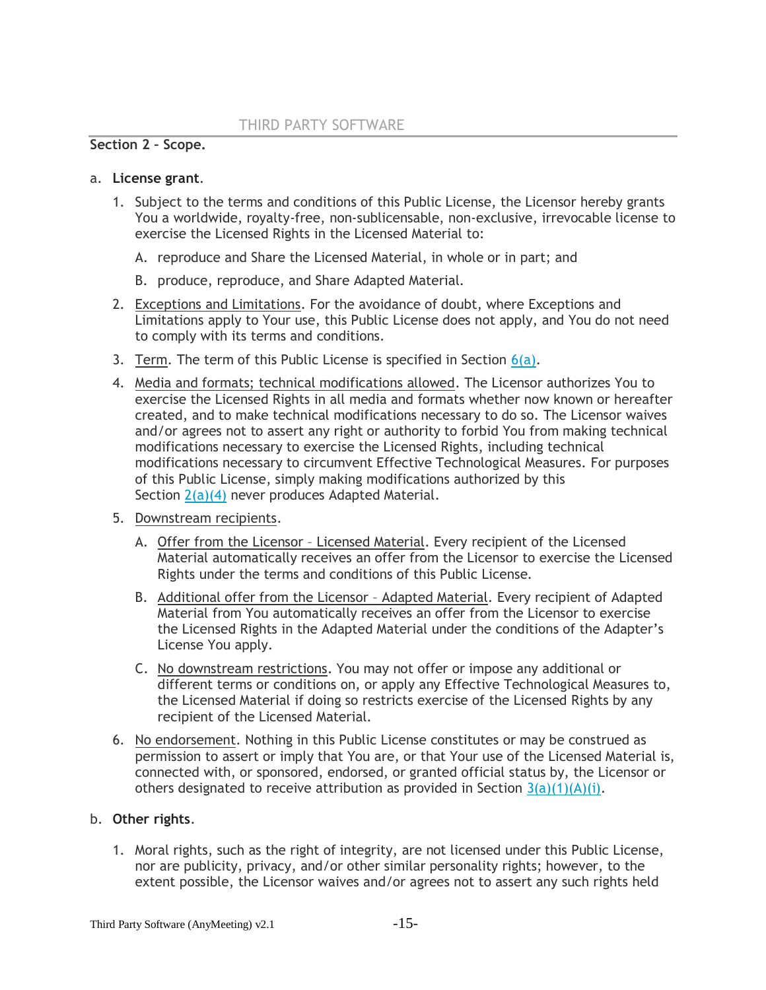# **Section 2 – Scope.**

## a. **License grant**.

- 1. Subject to the terms and conditions of this Public License, the Licensor hereby grants You a worldwide, royalty-free, non-sublicensable, non-exclusive, irrevocable license to exercise the Licensed Rights in the Licensed Material to:
	- A. reproduce and Share the Licensed Material, in whole or in part; and
	- B. produce, reproduce, and Share Adapted Material.
- 2. Exceptions and Limitations. For the avoidance of doubt, where Exceptions and Limitations apply to Your use, this Public License does not apply, and You do not need to comply with its terms and conditions.
- 3. Term. The term of this Public License is specified in Section [6\(a\).](https://creativecommons.org/licenses/by-sa/4.0/legalcode#s6a)
- 4. Media and formats; technical modifications allowed. The Licensor authorizes You to exercise the Licensed Rights in all media and formats whether now known or hereafter created, and to make technical modifications necessary to do so. The Licensor waives and/or agrees not to assert any right or authority to forbid You from making technical modifications necessary to exercise the Licensed Rights, including technical modifications necessary to circumvent Effective Technological Measures. For purposes of this Public License, simply making modifications authorized by this Section [2\(a\)\(4\)](https://creativecommons.org/licenses/by-sa/4.0/legalcode#s2a4) never produces Adapted Material.
- 5. Downstream recipients.
	- A. Offer from the Licensor Licensed Material. Every recipient of the Licensed Material automatically receives an offer from the Licensor to exercise the Licensed Rights under the terms and conditions of this Public License.
	- B. Additional offer from the Licensor Adapted Material. Every recipient of Adapted Material from You automatically receives an offer from the Licensor to exercise the Licensed Rights in the Adapted Material under the conditions of the Adapter's License You apply.
	- C. No downstream restrictions. You may not offer or impose any additional or different terms or conditions on, or apply any Effective Technological Measures to, the Licensed Material if doing so restricts exercise of the Licensed Rights by any recipient of the Licensed Material.
- 6. No endorsement. Nothing in this Public License constitutes or may be construed as permission to assert or imply that You are, or that Your use of the Licensed Material is, connected with, or sponsored, endorsed, or granted official status by, the Licensor or others designated to receive attribution as provided in Section  $3(a)(1)(A)(i)$ .

# b. **Other rights**.

1. Moral rights, such as the right of integrity, are not licensed under this Public License, nor are publicity, privacy, and/or other similar personality rights; however, to the extent possible, the Licensor waives and/or agrees not to assert any such rights held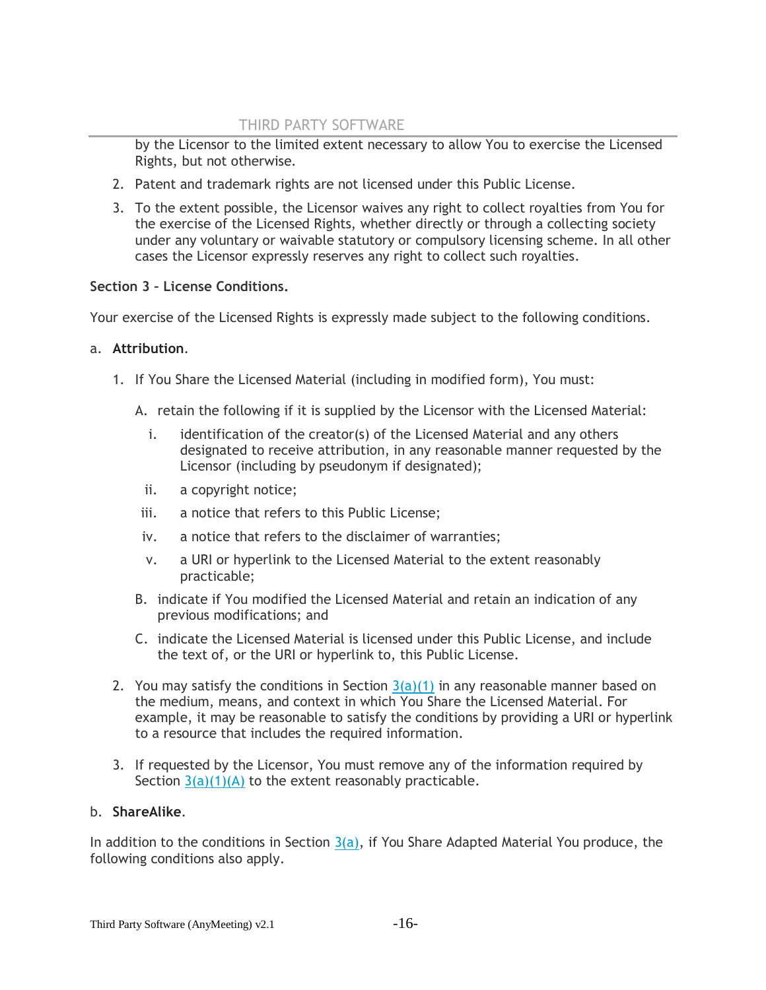by the Licensor to the limited extent necessary to allow You to exercise the Licensed Rights, but not otherwise.

- 2. Patent and trademark rights are not licensed under this Public License.
- 3. To the extent possible, the Licensor waives any right to collect royalties from You for the exercise of the Licensed Rights, whether directly or through a collecting society under any voluntary or waivable statutory or compulsory licensing scheme. In all other cases the Licensor expressly reserves any right to collect such royalties.

# **Section 3 – License Conditions.**

Your exercise of the Licensed Rights is expressly made subject to the following conditions.

# a. **Attribution**.

- 1. If You Share the Licensed Material (including in modified form), You must:
	- A. retain the following if it is supplied by the Licensor with the Licensed Material:
		- i. identification of the creator(s) of the Licensed Material and any others designated to receive attribution, in any reasonable manner requested by the Licensor (including by pseudonym if designated);
		- ii. a copyright notice;
	- iii. a notice that refers to this Public License;
	- iv. a notice that refers to the disclaimer of warranties;
	- v. a URI or hyperlink to the Licensed Material to the extent reasonably practicable;
	- B. indicate if You modified the Licensed Material and retain an indication of any previous modifications; and
	- C. indicate the Licensed Material is licensed under this Public License, and include the text of, or the URI or hyperlink to, this Public License.
- 2. You may satisfy the conditions in Section  $3(a)(1)$  in any reasonable manner based on the medium, means, and context in which You Share the Licensed Material. For example, it may be reasonable to satisfy the conditions by providing a URI or hyperlink to a resource that includes the required information.
- 3. If requested by the Licensor, You must remove any of the information required by Section  $3(a)(1)(A)$  to the extent reasonably practicable.

# b. **ShareAlike**.

In addition to the conditions in Section  $3(a)$ , if You Share Adapted Material You produce, the following conditions also apply.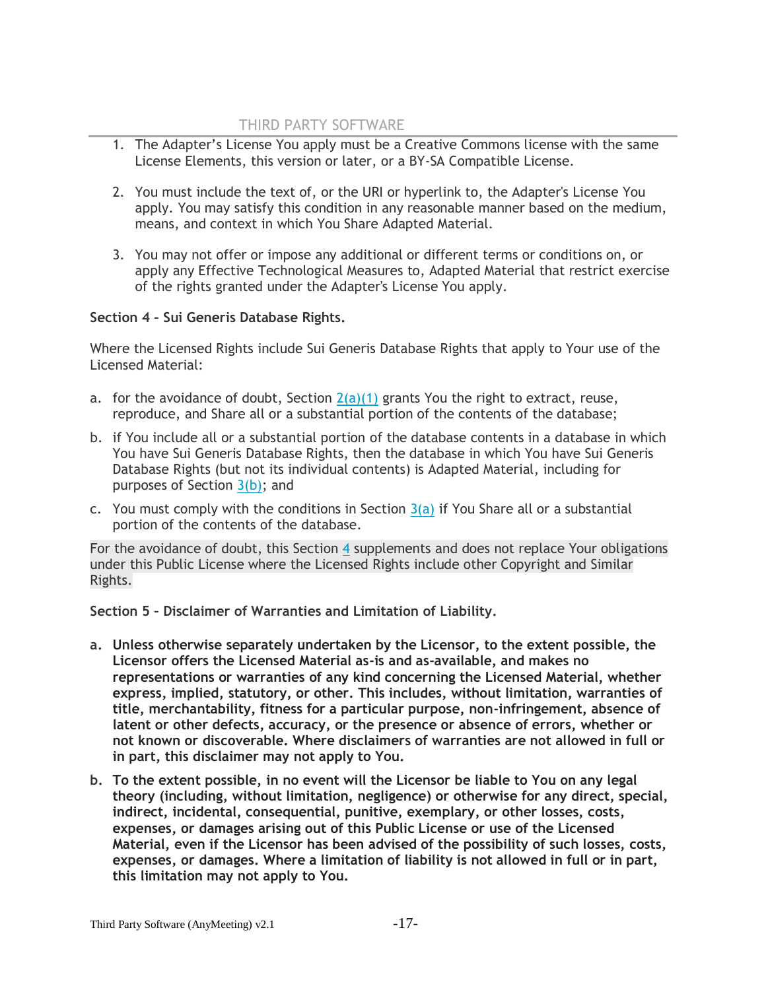- 1. The Adapter's License You apply must be a Creative Commons license with the same License Elements, this version or later, or a BY-SA Compatible License.
- 2. You must include the text of, or the URI or hyperlink to, the Adapter's License You apply. You may satisfy this condition in any reasonable manner based on the medium, means, and context in which You Share Adapted Material.
- 3. You may not offer or impose any additional or different terms or conditions on, or apply any Effective Technological Measures to, Adapted Material that restrict exercise of the rights granted under the Adapter's License You apply.

## **Section 4 – Sui Generis Database Rights.**

Where the Licensed Rights include Sui Generis Database Rights that apply to Your use of the Licensed Material:

- a. for the avoidance of doubt, Section  $2(a)(1)$  grants You the right to extract, reuse, reproduce, and Share all or a substantial portion of the contents of the database;
- b. if You include all or a substantial portion of the database contents in a database in which You have Sui Generis Database Rights, then the database in which You have Sui Generis Database Rights (but not its individual contents) is Adapted Material, including for purposes of Section [3\(b\);](https://creativecommons.org/licenses/by-sa/4.0/legalcode#s3b) and
- c. You must comply with the conditions in Section  $3(a)$  if You Share all or a substantial portion of the contents of the database.

For the avoidance of doubt, this Section [4](https://creativecommons.org/licenses/by-sa/4.0/legalcode#s4) supplements and does not replace Your obligations under this Public License where the Licensed Rights include other Copyright and Similar Rights.

**Section 5 – Disclaimer of Warranties and Limitation of Liability.**

- **a. Unless otherwise separately undertaken by the Licensor, to the extent possible, the Licensor offers the Licensed Material as-is and as-available, and makes no representations or warranties of any kind concerning the Licensed Material, whether express, implied, statutory, or other. This includes, without limitation, warranties of title, merchantability, fitness for a particular purpose, non-infringement, absence of latent or other defects, accuracy, or the presence or absence of errors, whether or not known or discoverable. Where disclaimers of warranties are not allowed in full or in part, this disclaimer may not apply to You.**
- **b. To the extent possible, in no event will the Licensor be liable to You on any legal theory (including, without limitation, negligence) or otherwise for any direct, special, indirect, incidental, consequential, punitive, exemplary, or other losses, costs, expenses, or damages arising out of this Public License or use of the Licensed Material, even if the Licensor has been advised of the possibility of such losses, costs, expenses, or damages. Where a limitation of liability is not allowed in full or in part, this limitation may not apply to You.**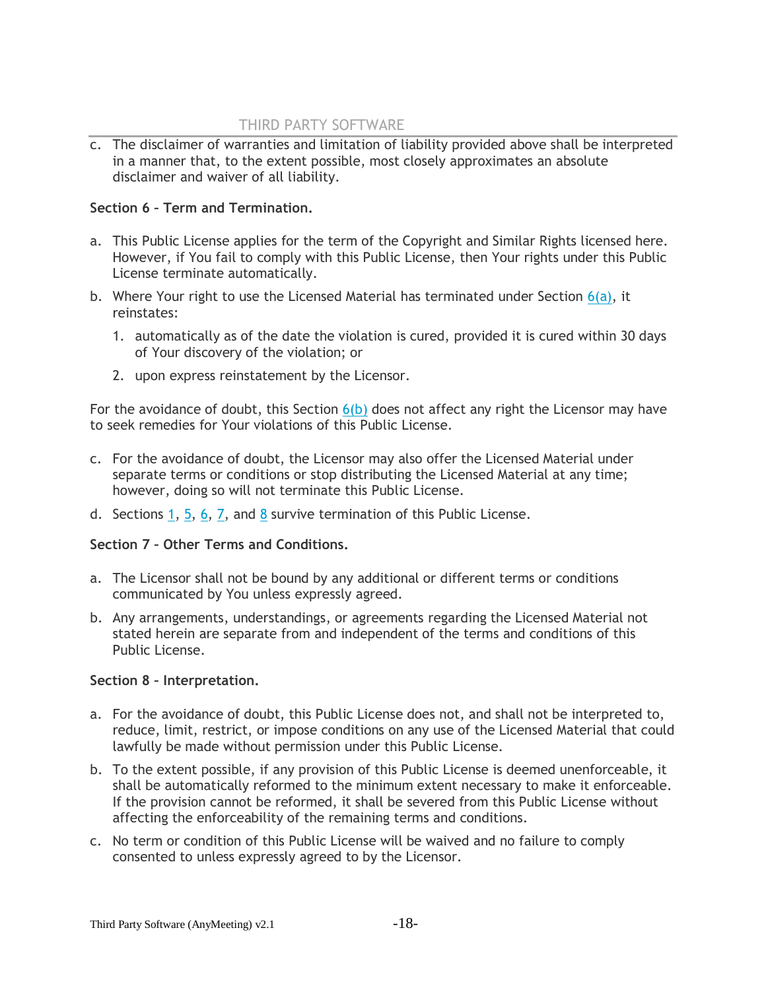c. The disclaimer of warranties and limitation of liability provided above shall be interpreted in a manner that, to the extent possible, most closely approximates an absolute disclaimer and waiver of all liability.

# **Section 6 – Term and Termination.**

- a. This Public License applies for the term of the Copyright and Similar Rights licensed here. However, if You fail to comply with this Public License, then Your rights under this Public License terminate automatically.
- b. Where Your right to use the Licensed Material has terminated under Section  $6(a)$ , it reinstates:
	- 1. automatically as of the date the violation is cured, provided it is cured within 30 days of Your discovery of the violation; or
	- 2. upon express reinstatement by the Licensor.

For the avoidance of doubt, this Section  $6(b)$  does not affect any right the Licensor may have to seek remedies for Your violations of this Public License.

- c. For the avoidance of doubt, the Licensor may also offer the Licensed Material under separate terms or conditions or stop distributing the Licensed Material at any time; however, doing so will not terminate this Public License.
- d. Sections [1,](https://creativecommons.org/licenses/by-sa/4.0/legalcode#s1) [5,](https://creativecommons.org/licenses/by-sa/4.0/legalcode#s5) [6,](https://creativecommons.org/licenses/by-sa/4.0/legalcode#s6) [7,](https://creativecommons.org/licenses/by-sa/4.0/legalcode#s7) and [8](https://creativecommons.org/licenses/by-sa/4.0/legalcode#s8) survive termination of this Public License.

# **Section 7 – Other Terms and Conditions.**

- a. The Licensor shall not be bound by any additional or different terms or conditions communicated by You unless expressly agreed.
- b. Any arrangements, understandings, or agreements regarding the Licensed Material not stated herein are separate from and independent of the terms and conditions of this Public License.

# **Section 8 – Interpretation.**

- a. For the avoidance of doubt, this Public License does not, and shall not be interpreted to, reduce, limit, restrict, or impose conditions on any use of the Licensed Material that could lawfully be made without permission under this Public License.
- b. To the extent possible, if any provision of this Public License is deemed unenforceable, it shall be automatically reformed to the minimum extent necessary to make it enforceable. If the provision cannot be reformed, it shall be severed from this Public License without affecting the enforceability of the remaining terms and conditions.
- c. No term or condition of this Public License will be waived and no failure to comply consented to unless expressly agreed to by the Licensor.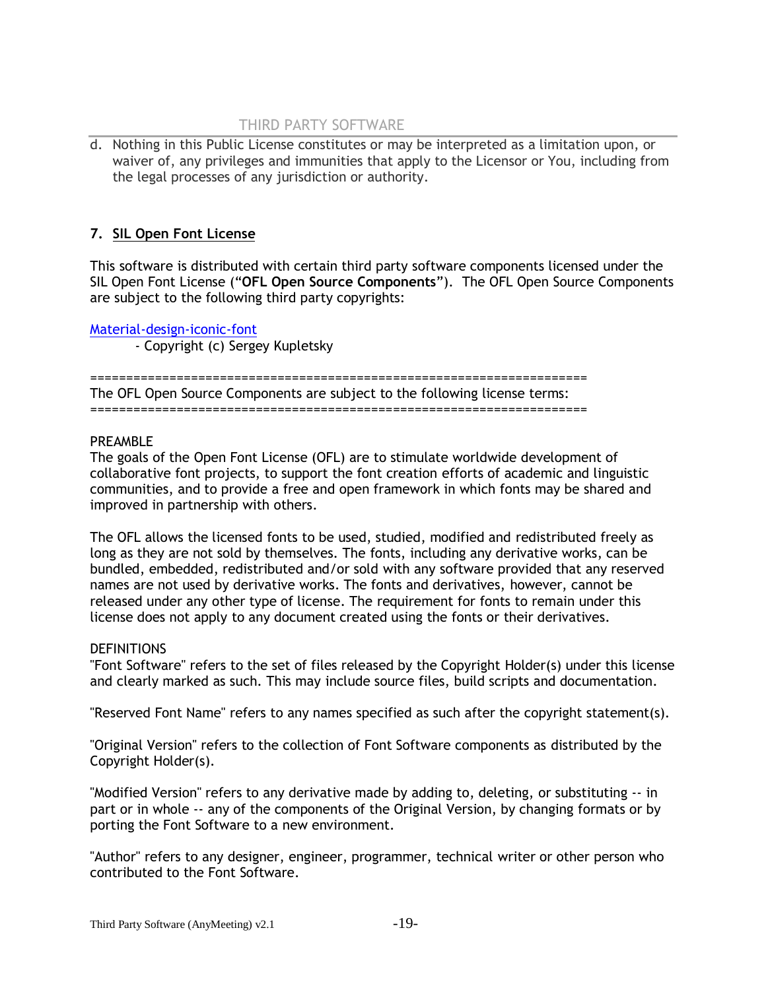d. Nothing in this Public License constitutes or may be interpreted as a limitation upon, or waiver of, any privileges and immunities that apply to the Licensor or You, including from the legal processes of any jurisdiction or authority.

# **7. SIL Open Font License**

This software is distributed with certain third party software components licensed under the SIL Open Font License ("**OFL Open Source Components**"). The OFL Open Source Components are subject to the following third party copyrights:

[Material-design-iconic-font](https://github.com/zavoloklom/material-design-iconic-font/blob/2.2.0/README.md) - Copyright (c) Sergey Kupletsky

===================================================================== The OFL Open Source Components are subject to the following license terms: =====================================================================

## PREAMBLE

The goals of the Open Font License (OFL) are to stimulate worldwide development of collaborative font projects, to support the font creation efforts of academic and linguistic communities, and to provide a free and open framework in which fonts may be shared and improved in partnership with others.

The OFL allows the licensed fonts to be used, studied, modified and redistributed freely as long as they are not sold by themselves. The fonts, including any derivative works, can be bundled, embedded, redistributed and/or sold with any software provided that any reserved names are not used by derivative works. The fonts and derivatives, however, cannot be released under any other type of license. The requirement for fonts to remain under this license does not apply to any document created using the fonts or their derivatives.

# **DEFINITIONS**

"Font Software" refers to the set of files released by the Copyright Holder(s) under this license and clearly marked as such. This may include source files, build scripts and documentation.

"Reserved Font Name" refers to any names specified as such after the copyright statement(s).

"Original Version" refers to the collection of Font Software components as distributed by the Copyright Holder(s).

"Modified Version" refers to any derivative made by adding to, deleting, or substituting -- in part or in whole -- any of the components of the Original Version, by changing formats or by porting the Font Software to a new environment.

"Author" refers to any designer, engineer, programmer, technical writer or other person who contributed to the Font Software.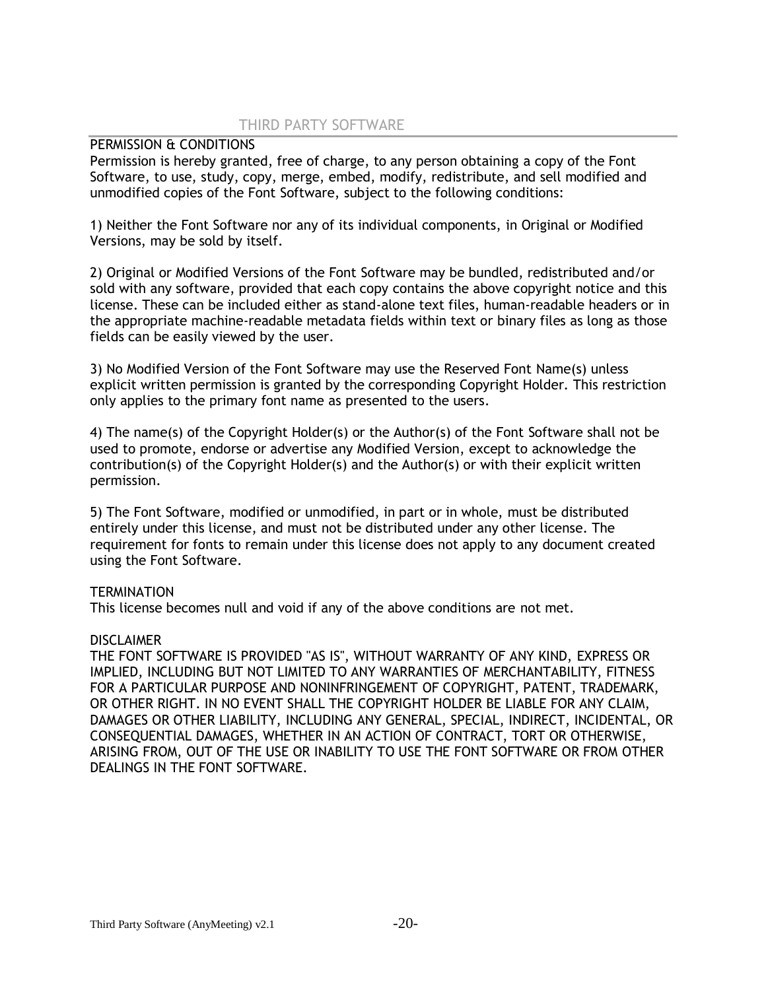#### PERMISSION & CONDITIONS

Permission is hereby granted, free of charge, to any person obtaining a copy of the Font Software, to use, study, copy, merge, embed, modify, redistribute, and sell modified and unmodified copies of the Font Software, subject to the following conditions:

1) Neither the Font Software nor any of its individual components, in Original or Modified Versions, may be sold by itself.

2) Original or Modified Versions of the Font Software may be bundled, redistributed and/or sold with any software, provided that each copy contains the above copyright notice and this license. These can be included either as stand-alone text files, human-readable headers or in the appropriate machine-readable metadata fields within text or binary files as long as those fields can be easily viewed by the user.

3) No Modified Version of the Font Software may use the Reserved Font Name(s) unless explicit written permission is granted by the corresponding Copyright Holder. This restriction only applies to the primary font name as presented to the users.

4) The name(s) of the Copyright Holder(s) or the Author(s) of the Font Software shall not be used to promote, endorse or advertise any Modified Version, except to acknowledge the contribution(s) of the Copyright Holder(s) and the Author(s) or with their explicit written permission.

5) The Font Software, modified or unmodified, in part or in whole, must be distributed entirely under this license, and must not be distributed under any other license. The requirement for fonts to remain under this license does not apply to any document created using the Font Software.

#### **TERMINATION**

This license becomes null and void if any of the above conditions are not met.

#### DISCLAIMER

THE FONT SOFTWARE IS PROVIDED "AS IS", WITHOUT WARRANTY OF ANY KIND, EXPRESS OR IMPLIED, INCLUDING BUT NOT LIMITED TO ANY WARRANTIES OF MERCHANTABILITY, FITNESS FOR A PARTICULAR PURPOSE AND NONINFRINGEMENT OF COPYRIGHT, PATENT, TRADEMARK, OR OTHER RIGHT. IN NO EVENT SHALL THE COPYRIGHT HOLDER BE LIABLE FOR ANY CLAIM, DAMAGES OR OTHER LIABILITY, INCLUDING ANY GENERAL, SPECIAL, INDIRECT, INCIDENTAL, OR CONSEQUENTIAL DAMAGES, WHETHER IN AN ACTION OF CONTRACT, TORT OR OTHERWISE, ARISING FROM, OUT OF THE USE OR INABILITY TO USE THE FONT SOFTWARE OR FROM OTHER DEALINGS IN THE FONT SOFTWARE.